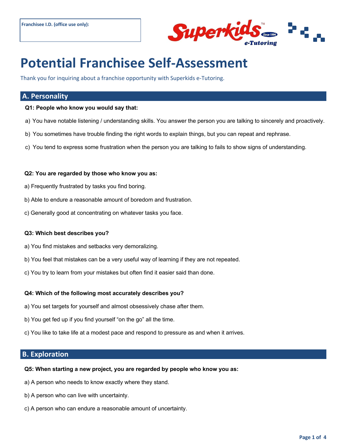

# **Potential Franchisee Self-Assessment**

Thank you for inquiring about a franchise opportunity with Superkids e-Tutoring.

# **A. Personality**

## **Q1: People who know you would say that:**

- a) You have notable listening / understanding skills. You answer the person you are talking to sincerely and proactively.
- b) You sometimes have trouble finding the right words to explain things, but you can repeat and rephrase.
- c) You tend to express some frustration when the person you are talking to fails to show signs of understanding.

## **Q2: You are regarded by those who know you as:**

- a) Frequently frustrated by tasks you find boring.
- b) Able to endure a reasonable amount of boredom and frustration.
- c) Generally good at concentrating on whatever tasks you face.

#### **Q3: Which best describes you?**

- a) You find mistakes and setbacks very demoralizing.
- b) You feel that mistakes can be a very useful way of learning if they are not repeated.
- c) You try to learn from your mistakes but often find it easier said than done.

## **Q4: Which of the following most accurately describes you?**

- a) You set targets for yourself and almost obsessively chase after them.
- b) You get fed up if you find yourself "on the go" all the time.
- c) You like to take life at a modest pace and respond to pressure as and when it arrives.

# **B. Exploration**

# **Q5: When starting a new project, you are regarded by people who know you as:**

- a) A person who needs to know exactly where they stand.
- b) A person who can live with uncertainty.
- c) A person who can endure a reasonable amount of uncertainty.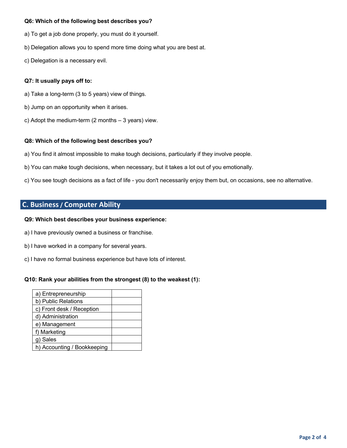#### **Q6: Which of the following best describes you?**

- a) To get a job done properly, you must do it yourself.
- b) Delegation allows you to spend more time doing what you are best at.
- c) Delegation is a necessary evil.

## **Q7: It usually pays off to:**

- a) Take a long-term (3 to 5 years) view of things.
- b) Jump on an opportunity when it arises.
- c) Adopt the medium-term (2 months 3 years) view.

## **Q8: Which of the following best describes you?**

- a) You find it almost impossible to make tough decisions, particularly if they involve people.
- b) You can make tough decisions, when necessary, but it takes a lot out of you emotionally.
- c) You see tough decisions as a fact of life you don't necessarily enjoy them but, on occasions, see no alternative.

# **C. Business / Computer Ability**

## **Q9: Which best describes your business experience:**

- a) I have previously owned a business or franchise.
- b) I have worked in a company for several years.
- c) I have no formal business experience but have lots of interest.

# **Q10: Rank your abilities from the strongest (8) to the weakest (1):**

| a) Entrepreneurship         |  |
|-----------------------------|--|
| b) Public Relations         |  |
| c) Front desk / Reception   |  |
| d) Administration           |  |
| e) Management               |  |
| f) Marketing                |  |
| g) Sales                    |  |
| h) Accounting / Bookkeeping |  |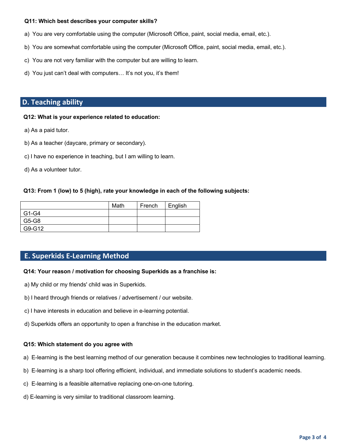#### **Q11: Which best describes your computer skills?**

- a) You are very comfortable using the computer (Microsoft Office, paint, social media, email, etc.).
- b) You are somewhat comfortable using the computer (Microsoft Office, paint, social media, email, etc.).
- c) You are not very familiar with the computer but are willing to learn.
- d) You just can't deal with computers… It's not you, it's them!

# **D. Teaching ability**

#### **Q12: What is your experience related to education:**

- a) As a paid tutor.
- b) As a teacher (daycare, primary or secondary).
- c) I have no experience in teaching, but I am willing to learn.
- d) As a volunteer tutor.

## **Q13: From 1 (low) to 5 (high), rate your knowledge in each of the following subjects:**

|        | Math | French | English |
|--------|------|--------|---------|
| G1-G4  |      |        |         |
| G5-G8  |      |        |         |
| G9-G12 |      |        |         |

# **E. Superkids E-Learning Method**

#### **Q14: Your reason / motivation for choosing Superkids as a franchise is:**

- a) My child or my friends' child was in Superkids.
- b) I heard through friends or relatives / advertisement / our website.
- c) I have interests in education and believe in e-learning potential.
- d) Superkids offers an opportunity to open a franchise in the education market.

#### **Q15: Which statement do you agree with**

- a) E-learning is the best learning method of our generation because it combines new technologies to traditional learning.
- b) E-learning is a sharp tool offering efficient, individual, and immediate solutions to student's academic needs.
- c) E-learning is a feasible alternative replacing one-on-one tutoring.
- d) E-learning is very similar to traditional classroom learning.